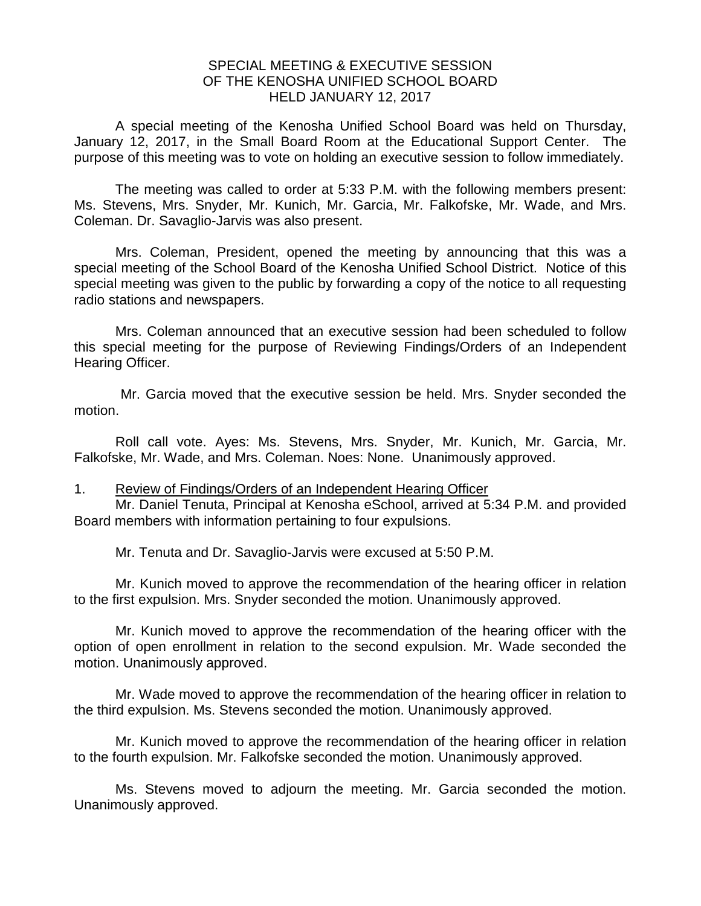## SPECIAL MEETING & EXECUTIVE SESSION OF THE KENOSHA UNIFIED SCHOOL BOARD HELD JANUARY 12, 2017

A special meeting of the Kenosha Unified School Board was held on Thursday, January 12, 2017, in the Small Board Room at the Educational Support Center. The purpose of this meeting was to vote on holding an executive session to follow immediately.

The meeting was called to order at 5:33 P.M. with the following members present: Ms. Stevens, Mrs. Snyder, Mr. Kunich, Mr. Garcia, Mr. Falkofske, Mr. Wade, and Mrs. Coleman. Dr. Savaglio-Jarvis was also present.

Mrs. Coleman, President, opened the meeting by announcing that this was a special meeting of the School Board of the Kenosha Unified School District. Notice of this special meeting was given to the public by forwarding a copy of the notice to all requesting radio stations and newspapers.

Mrs. Coleman announced that an executive session had been scheduled to follow this special meeting for the purpose of Reviewing Findings/Orders of an Independent Hearing Officer.

Mr. Garcia moved that the executive session be held. Mrs. Snyder seconded the motion.

Roll call vote. Ayes: Ms. Stevens, Mrs. Snyder, Mr. Kunich, Mr. Garcia, Mr. Falkofske, Mr. Wade, and Mrs. Coleman. Noes: None. Unanimously approved.

1. Review of Findings/Orders of an Independent Hearing Officer

Mr. Daniel Tenuta, Principal at Kenosha eSchool, arrived at 5:34 P.M. and provided Board members with information pertaining to four expulsions.

Mr. Tenuta and Dr. Savaglio-Jarvis were excused at 5:50 P.M.

Mr. Kunich moved to approve the recommendation of the hearing officer in relation to the first expulsion. Mrs. Snyder seconded the motion. Unanimously approved.

Mr. Kunich moved to approve the recommendation of the hearing officer with the option of open enrollment in relation to the second expulsion. Mr. Wade seconded the motion. Unanimously approved.

Mr. Wade moved to approve the recommendation of the hearing officer in relation to the third expulsion. Ms. Stevens seconded the motion. Unanimously approved.

Mr. Kunich moved to approve the recommendation of the hearing officer in relation to the fourth expulsion. Mr. Falkofske seconded the motion. Unanimously approved.

Ms. Stevens moved to adjourn the meeting. Mr. Garcia seconded the motion. Unanimously approved.